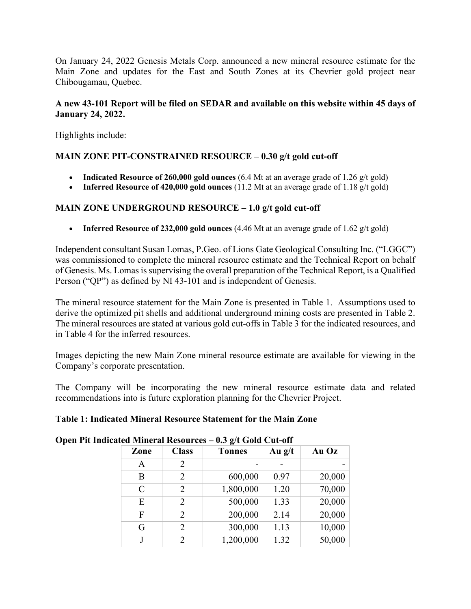On January 24, 2022 Genesis Metals Corp. announced a new mineral resource estimate for the Main Zone and updates for the East and South Zones at its Chevrier gold project near Chibougamau, Quebec.

## **A new 43-101 Report will be filed on SEDAR and available on this website within 45 days of January 24, 2022.**

Highlights include:

# **MAIN ZONE PIT-CONSTRAINED RESOURCE – 0.30 g/t gold cut-off**

- **Indicated Resource of 260,000 gold ounces** (6.4 Mt at an average grade of 1.26 g/t gold)
- **Inferred Resource of 420,000 gold ounces** (11.2 Mt at an average grade of 1.18 g/t gold)

# **MAIN ZONE UNDERGROUND RESOURCE – 1.0 g/t gold cut-off**

• **Inferred Resource of 232,000 gold ounces** (4.46 Mt at an average grade of 1.62 g/t gold)

Independent consultant Susan Lomas, P.Geo. of Lions Gate Geological Consulting Inc. ("LGGC") was commissioned to complete the mineral resource estimate and the Technical Report on behalf of Genesis. Ms. Lomas issupervising the overall preparation of the Technical Report, is a Qualified Person ("QP") as defined by NI 43-101 and is independent of Genesis.

The mineral resource statement for the Main Zone is presented in Table 1. Assumptions used to derive the optimized pit shells and additional underground mining costs are presented in Table 2. The mineral resources are stated at various gold cut-offs in Table 3 for the indicated resources, and in Table 4 for the inferred resources.

Images depicting the new Main Zone mineral resource estimate are available for viewing in the Company's corporate presentation.

The Company will be incorporating the new mineral resource estimate data and related recommendations into is future exploration planning for the Chevrier Project.

## **Table 1: Indicated Mineral Resource Statement for the Main Zone**

|        |          | $\mathbf{v}$ $\mathbf{v}$ $\mathbf{v}$ $\mathbf{v}$ $\mathbf{v}$ $\mathbf{v}$ $\mathbf{v}$ $\mathbf{v}$ $\mathbf{v}$ $\mathbf{v}$ | atea Brineian Itesban ees   |               |  |
|--------|----------|-----------------------------------------------------------------------------------------------------------------------------------|-----------------------------|---------------|--|
| Au Oz  | Au $g/t$ | <b>Tonnes</b>                                                                                                                     | <b>Class</b>                | Zone          |  |
|        |          |                                                                                                                                   | $\mathcal{D}_{\mathcal{L}}$ | A             |  |
| 20,000 | 0.97     | 600,000                                                                                                                           | 2                           | B             |  |
| 70,000 | 1.20     | 1,800,000                                                                                                                         | $\mathfrak{D}$              | $\mathcal{C}$ |  |
| 20,000 | 1.33     | 500,000                                                                                                                           | $\mathfrak{D}$              | E             |  |
| 20,000 | 2.14     | 200,000                                                                                                                           | 2                           | F             |  |
| 10,000 | 1.13     | 300,000                                                                                                                           | $\mathfrak{D}$              | G             |  |
| 50,000 | 1.32     | 1,200,000                                                                                                                         |                             |               |  |
|        |          |                                                                                                                                   |                             |               |  |

### **Open Pit Indicated Mineral Resources – 0.3 g/t Gold Cut-off**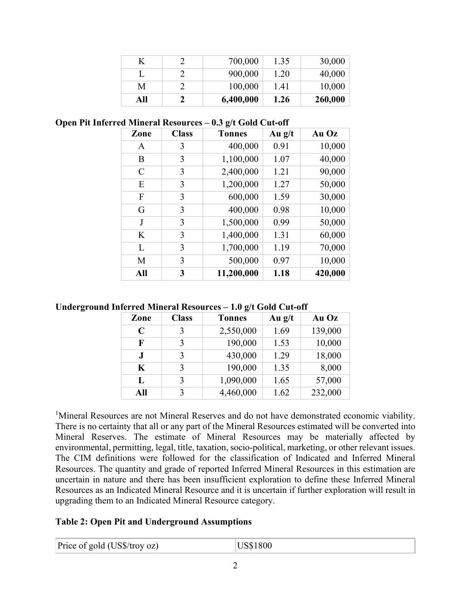|     | 700,000   | 1.35 | 30,000  |
|-----|-----------|------|---------|
|     | 900,000   | 1.20 | 40,000  |
| M   | 100,000   | 1.41 | 10,000  |
| All | 6,400,000 | 1.26 | 260,000 |

#### **Open Pit Inferred Mineral Resources – 0.3 g/t Gold Cut-off**

| Zone | <b>Class</b> | <b>Tonnes</b> | Au $g/t$ | Au Oz   |
|------|--------------|---------------|----------|---------|
| A    | 3            | 400,000       | 0.91     | 10,000  |
| B    | 3            | 1,100,000     | 1.07     | 40,000  |
| C    | 3            | 2,400,000     | 1.21     | 90,000  |
| E    | 3            | 1,200,000     | 1.27     | 50,000  |
| F    | 3            | 600,000       | 1.59     | 30,000  |
| G    | 3            | 400,000       | 0.98     | 10,000  |
| J    | 3            | 1,500,000     | 0.99     | 50,000  |
| K    | 3            | 1,400,000     | 1.31     | 60,000  |
| L    | 3            | 1,700,000     | 1.19     | 70,000  |
| M    | 3            | 500,000       | 0.97     | 10,000  |
| All  | 3            | 11,200,000    | 1.18     | 420,000 |

#### **Underground Inferred Mineral Resources – 1.0 g/t Gold Cut-off**

| Zone        | <b>Class</b> | <b>Tonnes</b> | Au $g/t$ | Au Oz   |
|-------------|--------------|---------------|----------|---------|
| $\mathbf C$ | 3            | 2,550,000     | 1.69     | 139,000 |
| F           | 3            | 190,000       | 1.53     | 10,000  |
| J           | 3            | 430,000       | 1.29     | 18,000  |
| $\mathbf K$ | 3            | 190,000       | 1.35     | 8,000   |
| L           | 3            | 1,090,000     | 1.65     | 57,000  |
| All         | 3            | 4,460,000     | 1.62     | 232,000 |

<sup>1</sup>Mineral Resources are not Mineral Reserves and do not have demonstrated economic viability. There is no certainty that all or any part of the Mineral Resources estimated will be converted into Mineral Reserves. The estimate of Mineral Resources may be materially affected by environmental, permitting, legal, title, taxation, socio-political, marketing, or other relevant issues. The CIM definitions were followed for the classification of Indicated and Inferred Mineral Resources. The quantity and grade of reported Inferred Mineral Resources in this estimation are uncertain in nature and there has been insufficient exploration to define these Inferred Mineral Resources as an Indicated Mineral Resource and it is uncertain if further exploration will result in upgrading them to an Indicated Mineral Resource category.

### **Table 2: Open Pit and Underground Assumptions**

| Price of gold (US\$/troy oz) | <b>US\$1800</b> |
|------------------------------|-----------------|
|                              |                 |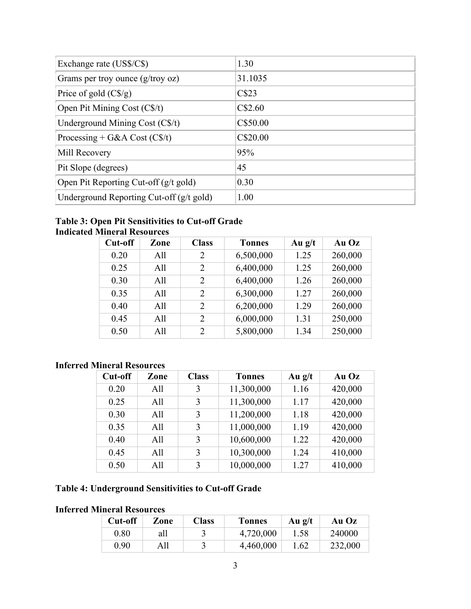| Exchange rate (US\$/C\$)                           | 1.30     |
|----------------------------------------------------|----------|
| Grams per troy ounce $(g$ /troy oz)                | 31.1035  |
| Price of gold $(C\frac{f}{g})$                     | C\$23    |
| Open Pit Mining Cost (C\$/t)                       | C\$2.60  |
| Underground Mining Cost (C\$/t)                    | C\$50.00 |
| Processing + G&A Cost $(C\$/t)$                    | C\$20.00 |
| Mill Recovery                                      | 95%      |
| Pit Slope (degrees)                                | 45       |
| Open Pit Reporting Cut-off $(g/t \text{ gold})$    | 0.30     |
| Underground Reporting Cut-off $(g/t \text{ gold})$ | 1.00     |

### **Table 3: Open Pit Sensitivities to Cut-off Grade Indicated Mineral Resources**

| Cut-off | Zone | <b>Class</b>  | <b>Tonnes</b> | Au $g/t$ | Au Oz   |
|---------|------|---------------|---------------|----------|---------|
| 0.20    | All  | 2             | 6,500,000     | 1.25     | 260,000 |
| 0.25    | A11  | 2             | 6,400,000     | 1.25     | 260,000 |
| 0.30    | All  | 2             | 6,400,000     | 1.26     | 260,000 |
| 0.35    | All  | $\mathcal{P}$ | 6,300,000     | 1.27     | 260,000 |
| 0.40    | All  | $\mathcal{P}$ | 6,200,000     | 1.29     | 260,000 |
| 0.45    | All  | 2             | 6,000,000     | 1.31     | 250,000 |
| 0.50    | All  | $\mathcal{P}$ | 5,800,000     | 1.34     | 250,000 |

# **Inferred Mineral Resources**

| Cut-off | Zone | <b>Class</b> | <b>Tonnes</b> | Au $g/t$ | Au Oz   |
|---------|------|--------------|---------------|----------|---------|
| 0.20    | All  | 3            | 11,300,000    | 1.16     | 420,000 |
| 0.25    | All  | 3            | 11,300,000    | 1.17     | 420,000 |
| 0.30    | All  | 3            | 11,200,000    | 1.18     | 420,000 |
| 0.35    | A11  | 3            | 11,000,000    | 1.19     | 420,000 |
| 0.40    | All  | 3            | 10,600,000    | 1.22     | 420,000 |
| 0.45    | All  | 3            | 10,300,000    | 1.24     | 410,000 |
| 0.50    | A11  | 3            | 10,000,000    | 1.27     | 410,000 |

# **Table 4: Underground Sensitivities to Cut-off Grade**

# **Inferred Mineral Resources**

| Cut-off | Zone | <b>Class</b> | <b>Tonnes</b> | Au $g/t$ | Au Oz   |
|---------|------|--------------|---------------|----------|---------|
| 0.80    | all  |              | 4,720,000     | 1.58     | 240000  |
| 0.90    | All  |              | 4,460,000     | 1.62     | 232,000 |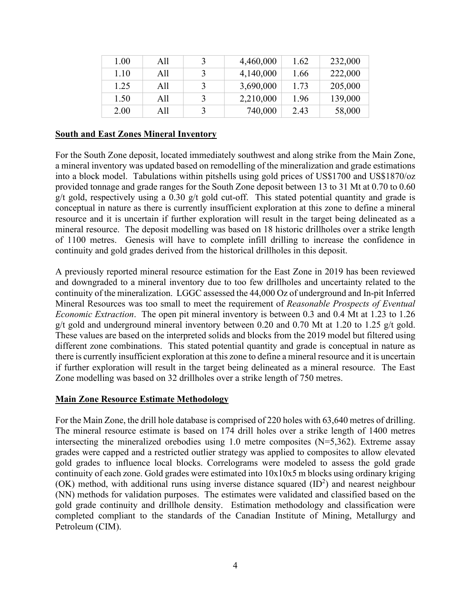| 1.00 | All | 3 | 4,460,000 | 1.62 | 232,000 |
|------|-----|---|-----------|------|---------|
| 1.10 | All |   | 4,140,000 | 1.66 | 222,000 |
| 1.25 | All |   | 3,690,000 | 1.73 | 205,000 |
| 1.50 | All |   | 2,210,000 | 1.96 | 139,000 |
| 2.00 | All | 3 | 740,000   | 2.43 | 58,000  |

#### **South and East Zones Mineral Inventory**

For the South Zone deposit, located immediately southwest and along strike from the Main Zone, a mineral inventory was updated based on remodelling of the mineralization and grade estimations into a block model. Tabulations within pitshells using gold prices of US\$1700 and US\$1870/oz provided tonnage and grade ranges for the South Zone deposit between 13 to 31 Mt at 0.70 to 0.60 g/t gold, respectively using a 0.30 g/t gold cut-off. This stated potential quantity and grade is conceptual in nature as there is currently insufficient exploration at this zone to define a mineral resource and it is uncertain if further exploration will result in the target being delineated as a mineral resource. The deposit modelling was based on 18 historic drillholes over a strike length of 1100 metres. Genesis will have to complete infill drilling to increase the confidence in continuity and gold grades derived from the historical drillholes in this deposit.

A previously reported mineral resource estimation for the East Zone in 2019 has been reviewed and downgraded to a mineral inventory due to too few drillholes and uncertainty related to the continuity of the mineralization. LGGC assessed the 44,000 Oz of underground and In-pit Inferred Mineral Resources was too small to meet the requirement of *Reasonable Prospects of Eventual Economic Extraction*. The open pit mineral inventory is between 0.3 and 0.4 Mt at 1.23 to 1.26 g/t gold and underground mineral inventory between 0.20 and 0.70 Mt at 1.20 to 1.25 g/t gold. These values are based on the interpreted solids and blocks from the 2019 model but filtered using different zone combinations. This stated potential quantity and grade is conceptual in nature as there is currently insufficient exploration at this zone to define a mineral resource and it is uncertain if further exploration will result in the target being delineated as a mineral resource. The East Zone modelling was based on 32 drillholes over a strike length of 750 metres.

#### **Main Zone Resource Estimate Methodology**

For the Main Zone, the drill hole database is comprised of 220 holes with 63,640 metres of drilling. The mineral resource estimate is based on 174 drill holes over a strike length of 1400 metres intersecting the mineralized orebodies using 1.0 metre composites  $(N=5,362)$ . Extreme assay grades were capped and a restricted outlier strategy was applied to composites to allow elevated gold grades to influence local blocks. Correlograms were modeled to assess the gold grade continuity of each zone. Gold grades were estimated into 10x10x5 m blocks using ordinary kriging (OK) method, with additional runs using inverse distance squared  $(ID<sup>2</sup>)$  and nearest neighbour (NN) methods for validation purposes. The estimates were validated and classified based on the gold grade continuity and drillhole density. Estimation methodology and classification were completed compliant to the standards of the Canadian Institute of Mining, Metallurgy and Petroleum (CIM).